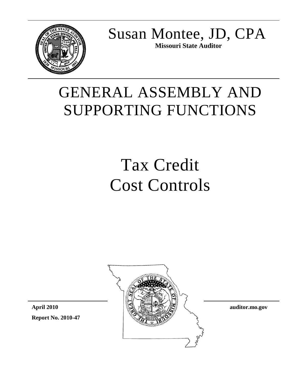

Susan Montee, JD, CPA **Missouri State Auditor**

# GENERAL ASSEMBLY AND SUPPORTING FUNCTIONS

# Tax Credit Cost Controls



**Report No. 2010-47 April 2010**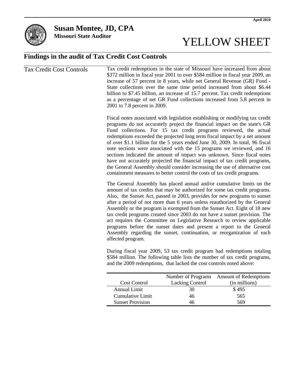

**Susan Montee, JD, CPA**

**Missouri State Auditor**

# YELLOW SHEET

### **Findings in the audit of Tax Credit Cost Controls**

| <b>Tax Credit Cost Controls</b> | Tax credit redemptions in the state of Missouri have increased from about<br>\$372 million in fiscal year 2001 to over \$584 million in fiscal year 2009, an<br>increase of 57 percent in 8 years, while net General Revenue (GR) Fund -<br>State collections over the same time period increased from about \$6.44<br>billion to \$7.45 billion, an increase of 15.7 percent. Tax credit redemptions<br>as a percentage of net GR Fund collections increased from 5.8 percent in<br>2001 to 7.8 percent in 2009.                                                                                                                                                                                                                                                                             |
|---------------------------------|-----------------------------------------------------------------------------------------------------------------------------------------------------------------------------------------------------------------------------------------------------------------------------------------------------------------------------------------------------------------------------------------------------------------------------------------------------------------------------------------------------------------------------------------------------------------------------------------------------------------------------------------------------------------------------------------------------------------------------------------------------------------------------------------------|
|                                 | Fiscal notes associated with legislation establishing or modifying tax credit<br>programs do not accurately project the financial impact on the state's GR<br>Fund collections. For 15 tax credit programs reviewed, the actual<br>redemptions exceeded the projected long term fiscal impact by a net amount<br>of over \$1.1 billion for the 5 years ended June 30, 2009. In total, 96 fiscal<br>note sections were associated with the 15 programs we reviewed, and 16<br>sections indicated the amount of impact was unknown. Since fiscal notes<br>have not accurately projected the financial impact of tax credit programs,<br>the General Assembly should consider increasing the use of alternative cost<br>containment measures to better control the costs of tax credit programs. |
|                                 | The General Assembly has placed annual and/or cumulative limits on the<br>amount of tax credits that may be authorized for some tax credit programs.<br>Also, the Sunset Act, passed in 2003, provides for new programs to sunset<br>after a period of not more than 6 years unless reauthorized by the General<br>Assembly or the program is exempted from the Sunset Act. Eight of 18 new<br>tax credit programs created since 2003 do not have a sunset provision. The<br>act requires the Committee on Legislative Research to review applicable<br>programs before the sunset dates and present a report to the General<br>Assembly regarding the sunset, continuation, or reorganization of each<br>affected program.                                                                   |
|                                 | During fiscal year 2009, 53 tax credit program had redemptions totaling<br>\$584 million. The following table lists the number of tax credit programs,<br>and the 2009 redemptions, that lacked the cost controls noted above:                                                                                                                                                                                                                                                                                                                                                                                                                                                                                                                                                                |
|                                 | Number of Programs Amount of Redemptions                                                                                                                                                                                                                                                                                                                                                                                                                                                                                                                                                                                                                                                                                                                                                      |

|                         |                        | Number of Programs Amount of Redemptions |
|-------------------------|------------------------|------------------------------------------|
| <b>Cost Control</b>     | <b>Lacking Control</b> | (in millions)                            |
| Annual Limit            | 30                     | \$495                                    |
| Cumulative Limit        | 46                     | 565                                      |
| <b>Sunset Provision</b> | 46                     | 569                                      |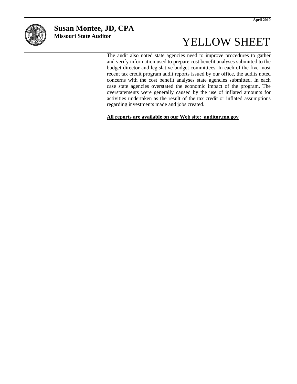

## **Susan Montee, JD, CPA**

**Missouri State Auditor**

# YELLOW SHEET

The audit also noted state agencies need to improve procedures to gather and verify information used to prepare cost benefit analyses submitted to the budget director and legislative budget committees. In each of the five most recent tax credit program audit reports issued by our office, the audits noted concerns with the cost benefit analyses state agencies submitted. In each case state agencies overstated the economic impact of the program. The overstatements were generally caused by the use of inflated amounts for activities undertaken as the result of the tax credit or inflated assumptions regarding investments made and jobs created.

**All reports are available on our Web site: auditor.mo.gov**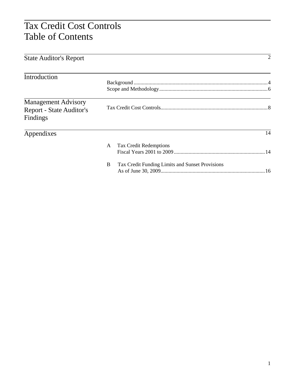# Tax Credit Cost Controls Table of Contents

| <b>State Auditor's Report</b>   |                                                      | 2  |
|---------------------------------|------------------------------------------------------|----|
|                                 |                                                      |    |
| Introduction                    |                                                      |    |
|                                 |                                                      |    |
| <b>Management Advisory</b>      |                                                      |    |
| <b>Report - State Auditor's</b> |                                                      |    |
| Findings                        |                                                      |    |
| Appendixes                      |                                                      | 14 |
|                                 | A Tax Credit Redemptions                             |    |
|                                 |                                                      |    |
|                                 | B<br>Tax Credit Funding Limits and Sunset Provisions |    |
|                                 |                                                      |    |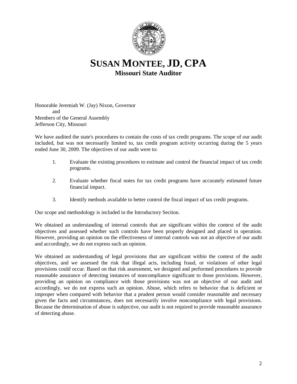

### **SUSAN MONTEE, JD, CPA Missouri State Auditor**

Honorable Jeremiah W. (Jay) Nixon, Governor and Members of the General Assembly Jefferson City, Missouri

We have audited the state's procedures to contain the costs of tax credit programs. The scope of our audit included, but was not necessarily limited to, tax credit program activity occurring during the 5 years ended June 30, 2009. The objectives of our audit were to:

- 1. Evaluate the existing procedures to estimate and control the financial impact of tax credit programs.
- 2. Evaluate whether fiscal notes for tax credit programs have accurately estimated future financial impact.
- 3. Identify methods available to better control the fiscal impact of tax credit programs.

Our scope and methodology is included in the Introductory Section.

We obtained an understanding of internal controls that are significant within the context of the audit objectives and assessed whether such controls have been properly designed and placed in operation. However, providing an opinion on the effectiveness of internal controls was not an objective of our audit and accordingly, we do not express such an opinion.

We obtained an understanding of legal provisions that are significant within the context of the audit objectives, and we assessed the risk that illegal acts, including fraud, or violations of other legal provisions could occur. Based on that risk assessment, we designed and performed procedures to provide reasonable assurance of detecting instances of noncompliance significant to those provisions. However, providing an opinion on compliance with those provisions was not an objective of our audit and accordingly, we do not express such an opinion. Abuse, which refers to behavior that is deficient or improper when compared with behavior that a prudent person would consider reasonable and necessary given the facts and circumstances, does not necessarily involve noncompliance with legal provisions. Because the determination of abuse is subjective, our audit is not required to provide reasonable assurance of detecting abuse.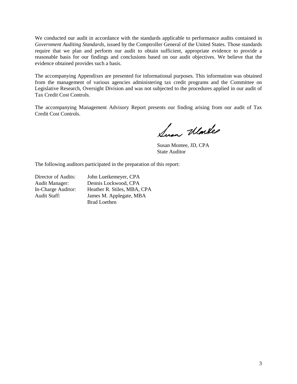We conducted our audit in accordance with the standards applicable to performance audits contained in *Government Auditing Standards*, issued by the Comptroller General of the United States. Those standards require that we plan and perform our audit to obtain sufficient, appropriate evidence to provide a reasonable basis for our findings and conclusions based on our audit objectives. We believe that the evidence obtained provides such a basis.

The accompanying Appendixes are presented for informational purposes. This information was obtained from the management of various agencies administering tax credit programs and the Committee on Legislative Research, Oversight Division and was not subjected to the procedures applied in our audit of Tax Credit Cost Controls.

The accompanying Management Advisory Report presents our finding arising from our audit of Tax Credit Cost Controls.

Sum Warker

Susan Montee, JD, CPA State Auditor

The following auditors participated in the preparation of this report:

Director of Audits: John Luetkemeyer, CPA Audit Manager: Dennis Lockwood, CPA In-Charge Auditor: Heather R. Stiles, MBA, CPA James M. Applegate, MBA Brad Loethen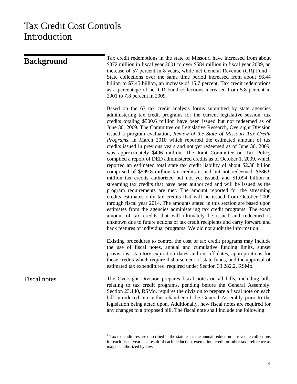# Tax Credit Cost Controls Introduction

| <b>Background</b> | Tax credit redemptions in the state of Missouri have increased from about<br>\$372 million in fiscal year 2001 to over \$584 million in fiscal year 2009, an<br>increase of 57 percent in 8 years, while net General Revenue (GR) Fund -<br>State collections over the same time period increased from about \$6.44                                                                                                                                                                                                                                                                                                                                                                                                                                                                                                                                                                                                                                                                                                                                                                                                                                                                                                                                                                                                                                                                                                                                                                                                                                                              |
|-------------------|----------------------------------------------------------------------------------------------------------------------------------------------------------------------------------------------------------------------------------------------------------------------------------------------------------------------------------------------------------------------------------------------------------------------------------------------------------------------------------------------------------------------------------------------------------------------------------------------------------------------------------------------------------------------------------------------------------------------------------------------------------------------------------------------------------------------------------------------------------------------------------------------------------------------------------------------------------------------------------------------------------------------------------------------------------------------------------------------------------------------------------------------------------------------------------------------------------------------------------------------------------------------------------------------------------------------------------------------------------------------------------------------------------------------------------------------------------------------------------------------------------------------------------------------------------------------------------|
|                   | billion to \$7.45 billion, an increase of 15.7 percent. Tax credit redemptions<br>as a percentage of net GR Fund collections increased from 5.8 percent in<br>2001 to 7.8 percent in 2009.                                                                                                                                                                                                                                                                                                                                                                                                                                                                                                                                                                                                                                                                                                                                                                                                                                                                                                                                                                                                                                                                                                                                                                                                                                                                                                                                                                                       |
|                   | Based on the 63 tax credit analysis forms submitted by state agencies<br>administering tax credit programs for the current legislative session, tax<br>credits totaling \$500.6 million have been issued but not redeemed as of<br>June 30, 2009. The Committee on Legislative Research, Oversight Division<br>issued a program evaluation, Review of the State of Missouri Tax Credit<br><i>Programs</i> , in March 2010 which reported the estimated amount of tax<br>credits issued in previous years and not yet redeemed as of June 30, 2009,<br>was approximately \$496 million. The Joint Committee on Tax Policy<br>compiled a report of DED administered credits as of October 1, 2009, which<br>reported an estimated total state tax credit liability of about \$2.38 billion<br>comprised of \$599.8 million tax credits issued but not redeemed, \$686.9<br>million tax credits authorized but not yet issued, and \$1.094 billion in<br>streaming tax credits that have been authorized and will be issued as the<br>program requirements are met. The amount reported for the streaming<br>credits estimates only tax credits that will be issued from October 2009<br>through fiscal year 2014. The amounts stated in this section are based upon<br>estimates from the agencies administering tax credit programs. The exact<br>amount of tax credits that will ultimately be issued and redeemed is<br>unknown due to future actions of tax credit recipients and carry forward and<br>back features of individual programs. We did not audit the information. |
|                   | Existing procedures to control the cost of tax credit programs may include<br>the use of fiscal notes, annual and cumulative funding limits, sunset<br>provisions, statutory expiration dates and cut-off dates, appropriations for<br>those credits which require disbursement of state funds, and the approval of<br>estimated tax expenditures <sup>1</sup> required under Section 33.282.2, RSMo.                                                                                                                                                                                                                                                                                                                                                                                                                                                                                                                                                                                                                                                                                                                                                                                                                                                                                                                                                                                                                                                                                                                                                                            |
| Fiscal notes      | The Oversight Division prepares fiscal notes on all bills, including bills<br>relating to tax credit programs, pending before the General Assembly.<br>Section 23.140, RSMo, requires the division to prepare a fiscal note on each<br>bill introduced into either chamber of the General Assembly prior to the<br>legislation being acted upon. Additionally, new fiscal notes are required for<br>any changes to a proposed bill. The fiscal note shall include the following:                                                                                                                                                                                                                                                                                                                                                                                                                                                                                                                                                                                                                                                                                                                                                                                                                                                                                                                                                                                                                                                                                                 |

<span id="page-6-0"></span><sup>&</sup>lt;sup>1</sup> Tax expenditures are described in the statutes as the annual reduction in revenue collections for each fiscal year as a result of each deduction, exemption, credit or other tax preference as may be authorized by law.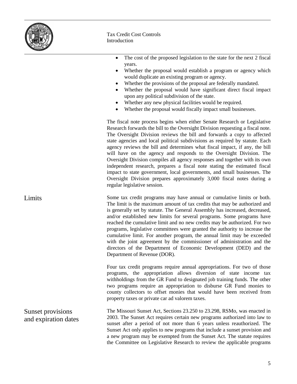

#### Tax Credit Cost Controls Introduction

- The cost of the proposed legislation to the state for the next 2 fiscal years.
- Whether the proposal would establish a program or agency which would duplicate an existing program or agency.
- Whether the provisions of the proposal are federally mandated.
- Whether the proposal would have significant direct fiscal impact upon any political subdivision of the state.
- Whether any new physical facilities would be required.
- Whether the proposal would fiscally impact small businesses.

The fiscal note process begins when either Senate Research or Legislative Research forwards the bill to the Oversight Division requesting a fiscal note. The Oversight Division reviews the bill and forwards a copy to affected state agencies and local political subdivisions as required by statute. Each agency reviews the bill and determines what fiscal impact, if any, the bill will have on the agency and responds to the Oversight Division. The Oversight Division compiles all agency responses and together with its own independent research, prepares a fiscal note stating the estimated fiscal impact to state government, local governments, and small businesses. The Oversight Division prepares approximately 3,000 fiscal notes during a regular legislative session.

Some tax credit programs may have annual or cumulative limits or both. The limit is the maximum amount of tax credits that may be authorized and is generally set by statute. The General Assembly has increased, decreased, and/or established new limits for several programs. Some programs have reached the cumulative limit and no new credits may be authorized. For two programs, legislative committees were granted the authority to increase the cumulative limit. For another program, the annual limit may be exceeded with the joint agreement by the commissioner of administration and the directors of the Department of Economic Development (DED) and the Department of Revenue (DOR).

> Four tax credit programs require annual appropriations. For two of those programs, the appropriation allows diversion of state income tax withholdings from the GR Fund to designated job training funds. The other two programs require an appropriation to disburse GR Fund monies to county collectors to offset monies that would have been received from property taxes or private car ad valorem taxes.

The Missouri Sunset Act, Sections 23.250 to 23.298, RSMo, was enacted in 2003. The Sunset Act requires certain new programs authorized into law to sunset after a period of not more than 6 years unless reauthorized. The Sunset Act only applies to new programs that include a sunset provision and a new program may be exempted from the Sunset Act. The statute requires the Committee on Legislative Research to review the applicable programs

Limits

Sunset provisions and expiration dates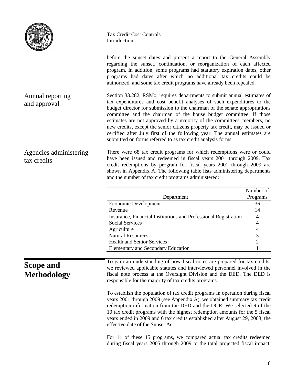| THE STAT<br><b>D. DIVIOR</b><br><i>ISSOUR</i> |
|-----------------------------------------------|
|-----------------------------------------------|

Annual reporting and approval

#### Tax Credit Cost Controls Introduction

before the sunset dates and present a report to the General Assembly regarding the sunset, continuation, or reorganization of each affected program. In addition, some programs had statutory expiration dates, other programs had dates after which no additional tax credits could be authorized, and some tax credit programs have already been repealed. Section 33.282, RSMo, requires departments to submit annual estimates of tax expenditures and cost benefit analyses of such expenditures to the budget director for submission to the chairman of the senate appropriations committee and the chairman of the house budget committee. If those estimates are not approved by a majority of the committees' members, no new credits, except the senior citizens property tax credit, may be issued or certified after July first of the following year. The annual estimates are submitted on forms referred to as tax credit analysis forms.

There were 68 tax credit programs for which redemptions were or could have been issued and redeemed in fiscal years 2001 through 2009. Tax credit redemptions by program for fiscal years 2001 through 2009 are shown in Appendix A. The following table lists administering departments and the number of tax credit programs administered: Agencies administering tax credits

|                                        |                                                                                                                                                                                                                                                                                                                                                                                                                                                                                                                                                                                                                | Number of      |
|----------------------------------------|----------------------------------------------------------------------------------------------------------------------------------------------------------------------------------------------------------------------------------------------------------------------------------------------------------------------------------------------------------------------------------------------------------------------------------------------------------------------------------------------------------------------------------------------------------------------------------------------------------------|----------------|
|                                        | Department                                                                                                                                                                                                                                                                                                                                                                                                                                                                                                                                                                                                     | Programs       |
| Economic Development                   |                                                                                                                                                                                                                                                                                                                                                                                                                                                                                                                                                                                                                | 36             |
|                                        | Revenue                                                                                                                                                                                                                                                                                                                                                                                                                                                                                                                                                                                                        | 14             |
|                                        | Insurance, Financial Institutions and Professional Registration                                                                                                                                                                                                                                                                                                                                                                                                                                                                                                                                                | 4              |
|                                        | <b>Social Services</b>                                                                                                                                                                                                                                                                                                                                                                                                                                                                                                                                                                                         | 4              |
|                                        | Agriculture                                                                                                                                                                                                                                                                                                                                                                                                                                                                                                                                                                                                    | 4              |
|                                        | <b>Natural Resources</b>                                                                                                                                                                                                                                                                                                                                                                                                                                                                                                                                                                                       | 3              |
|                                        | <b>Health and Senior Services</b>                                                                                                                                                                                                                                                                                                                                                                                                                                                                                                                                                                              | $\overline{c}$ |
|                                        | <b>Elementary and Secondary Education</b>                                                                                                                                                                                                                                                                                                                                                                                                                                                                                                                                                                      | $\mathbf{1}$   |
|                                        |                                                                                                                                                                                                                                                                                                                                                                                                                                                                                                                                                                                                                |                |
| <b>Scope and</b><br><b>Methodology</b> | To gain an understanding of how fiscal notes are prepared for tax credits,<br>we reviewed applicable statutes and interviewed personnel involved in the<br>fiscal note process at the Oversight Division and the DED. The DED is<br>responsible for the majority of tax credits programs.<br>To establish the population of tax credit programs in operation during fiscal<br>years 2001 through 2009 (see Appendix A), we obtained summary tax credit<br>redemption information from the DED and the DOR. We selected 9 of the<br>10 tax credit programs with the highest redemption amounts for the 5 fiscal |                |
|                                        | years ended in 2009 and 6 tax credits established after August 29, 2003, the<br>effective date of the Sunset Act.<br>For 11 of these 15 programs, we compared actual tax credits redeemed<br>during fiscal years 2005 through 2009 to the total projected fiscal impact.                                                                                                                                                                                                                                                                                                                                       |                |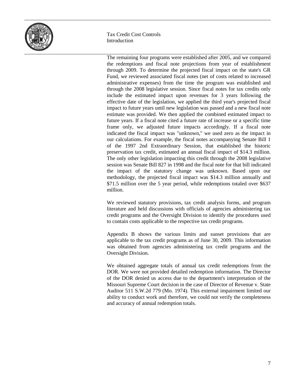

#### Tax Credit Cost Controls Introduction

The remaining four programs were established after 2005, and we compared the redemptions and fiscal note projections from year of establishment through 2009. To determine the projected fiscal impact on the state's GR Fund, we reviewed associated fiscal notes (net of costs related to increased administrative expenses) from the time the program was established and through the 2008 legislative session. Since fiscal notes for tax credits only include the estimated impact upon revenues for 3 years following the effective date of the legislation, we applied the third year's projected fiscal impact to future years until new legislation was passed and a new fiscal note estimate was provided. We then applied the combined estimated impact to future years. If a fiscal note cited a future rate of increase or a specific time frame only, we adjusted future impacts accordingly. If a fiscal note indicated the fiscal impact was "unknown," we used zero as the impact in our calculations. For example, the fiscal notes accompanying Senate Bill 1 of the 1997 2nd Extraordinary Session, that established the historic preservation tax credit, estimated an annual fiscal impact of \$14.3 million. The only other legislation impacting this credit through the 2008 legislative session was Senate Bill 827 in 1998 and the fiscal note for that bill indicated the impact of the statutory change was unknown. Based upon our methodology, the projected fiscal impact was \$14.3 million annually and \$71.5 million over the 5 year period, while redemptions totaled over \$637 million.

We reviewed statutory provisions, tax credit analysis forms, and program literature and held discussions with officials of agencies administering tax credit programs and the Oversight Division to identify the procedures used to contain costs applicable to the respective tax credit programs.

Appendix B shows the various limits and sunset provisions that are applicable to the tax credit programs as of June 30, 2009. This information was obtained from agencies administering tax credit programs and the Oversight Division.

We obtained aggregate totals of annual tax credit redemptions from the DOR. We were not provided detailed redemption information. The Director of the DOR denied us access due to the department's interpretation of the Missouri Supreme Court decision in the case of Director of Revenue v. State Auditor 511 S.W.2d 779 (Mo. 1974). This external impairment limited our ability to conduct work and therefore, we could not verify the completeness and accuracy of annual redemption totals.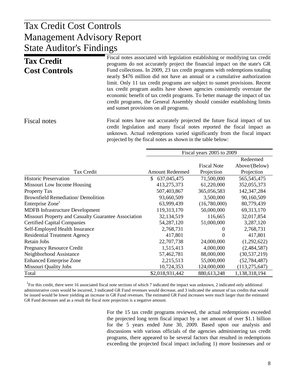#### $\mathbf{F}$  Panort Management Advisory Report Tax Credit Cost Controls State Auditor's Findings

| <b>Tax Credit</b><br><b>Cost Controls</b> | Fiscal notes associated with legislation establishing or modifying tax credit<br>programs do not accurately project the financial impact on the state's GR<br>Fund collections. In 2009, 23 tax credit programs with redemptions totaling<br>nearly \$476 million did not have an annual or a cumulative authorization<br>limit. Only 11 tax credit programs are subject to sunset provisions. Recent<br>tax credit program audits have shown agencies consistently overstate the<br>economic benefit of tax credit programs. To better manage the impact of tax<br>credit programs, the General Assembly should consider establishing limits<br>and sunset provisions on all programs. |
|-------------------------------------------|-----------------------------------------------------------------------------------------------------------------------------------------------------------------------------------------------------------------------------------------------------------------------------------------------------------------------------------------------------------------------------------------------------------------------------------------------------------------------------------------------------------------------------------------------------------------------------------------------------------------------------------------------------------------------------------------|
| Fiscal notes                              | Fiscal notes have not accurately projected the future fiscal impact of tax                                                                                                                                                                                                                                                                                                                                                                                                                                                                                                                                                                                                              |

credit legislation and many fiscal notes reported the fiscal impact as unknown. Actual redemptions varied significantly from the fiscal impact projected by the fiscal notes as shown in the table below:

|                                                      |                        | Fiscal years 2005 to 2009 |                 |
|------------------------------------------------------|------------------------|---------------------------|-----------------|
|                                                      |                        |                           | Redeemed        |
|                                                      |                        | <b>Fiscal Note</b>        | Above/(Below)   |
| Tax Credit                                           | <b>Amount Redeemed</b> | Projection                | Projection      |
| <b>Historic Preservation</b>                         | 637,045,475<br>S       | 71,500,000                | 565, 545, 475   |
| Missouri Low Income Housing                          | 413,275,373            | 61,220,000                | 352,055,373     |
| Property Tax                                         | 507,403,867            | 365,056,583               | 142,347,284     |
| <b>Brownfield Remediation/ Demolition</b>            | 93,660,509             | 3,500,000                 | 90,160,509      |
| Enterprise Zone <sup>1</sup>                         | 63,999,439             | (16,780,000)              | 80,779,439      |
| <b>MDFB</b> Infrastructure Development               | 119,313,170            | 50,000,000                | 69, 313, 170    |
| Missouri Property and Casualty Guarantee Association | 32,134,519             | 116,665                   | 32,017,854      |
| <b>Certified Capital Companies</b>                   | 54, 287, 120           | 51,000,000                | 3,287,120       |
| Self-Employed Health Insurance                       | 2,768,731              | $\theta$                  | 2,768,731       |
| <b>Residential Treatment Agency</b>                  | 417,801                | $\Omega$                  | 417,801         |
| Retain Jobs                                          | 22,707,738             | 24,000,000                | (1,292,622)     |
| <b>Pregnancy Resource Credit</b>                     | 1,515,413              | 4,000,000                 | (2,484,587)     |
| Neighborhood Assistance                              | 57,462,781             | 88,000,000                | (30, 537, 219)  |
| <b>Enhanced Enterprise Zone</b>                      | 2,215,513              | 55,000,000                | (52, 784, 487)  |
| <b>Missouri Quality Jobs</b>                         | 10,724,353             | 124,000,000               | (113, 275, 647) |
| Total                                                | \$2,018,931,442        | 880,613,248               | 1,138,318,194   |

<sup>1</sup>For this credit, there were 16 associated fiscal note sections of which 7 indicated the impact was unknown, 2 indicated only additional administrative costs would be incurred, 3 indicated GR Fund revenues would decrease, and 3 indicated the amount of tax credits that would be issued would be lower yielding an increase in GR Fund revenues. The estimated GR Fund increases were much larger than the estimated GR Fund decreases and as a result the fiscal note projection is a negative amount.

> For the 15 tax credit programs reviewed, the actual redemptions exceeded the projected long term fiscal impact by a net amount of over \$1.1 billion for the 5 years ended June 30, 2009. Based upon our analysis and discussions with various officials of the agencies administering tax credit programs, there appeared to be several factors that resulted in redemptions exceeding the projected fiscal impact including 1) more businesses and or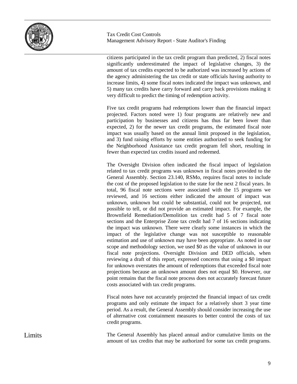

citizens participated in the tax credit program than predicted, 2) fiscal notes significantly underestimated the impact of legislative changes, 3) the amount of tax credits expected to be authorized was increased by actions of the agency administering the tax credit or state officials having authority to increase limits, 4) some fiscal notes indicated the impact was unknown, and 5) many tax credits have carry forward and carry back provisions making it very difficult to predict the timing of redemption activity.

Five tax credit programs had redemptions lower than the financial impact projected. Factors noted were 1) four programs are relatively new and participation by businesses and citizens has thus far been lower than expected, 2) for the newer tax credit programs, the estimated fiscal note impact was usually based on the annual limit proposed in the legislation, and 3) fund raising efforts by some entities authorized to seek funding for the Neighborhood Assistance tax credit program fell short, resulting in fewer than expected tax credits issued and redeemed.

The Oversight Division often indicated the fiscal impact of legislation related to tax credit programs was unknown in fiscal notes provided to the General Assembly. Section 23.140, RSMo, requires fiscal notes to include the cost of the proposed legislation to the state for the next 2 fiscal years. In total, 96 fiscal note sections were associated with the 15 programs we reviewed, and 16 sections either indicated the amount of impact was unknown, unknown but could be substantial, could not be projected, not possible to tell, or did not provide an estimated impact. For example, the Brownfield Remediation/Demolition tax credit had 5 of 7 fiscal note sections and the Enterprise Zone tax credit had 7 of 16 sections indicating the impact was unknown. There were clearly some instances in which the impact of the legislative change was not susceptible to reasonable estimation and use of unknown may have been appropriate. As noted in our scope and methodology section, we used \$0 as the value of unknown in our fiscal note projections. Oversight Division and DED officials, when reviewing a draft of this report, expressed concerns that using a \$0 impact for unknown overstates the amount of redemptions that exceeded fiscal note projections because an unknown amount does not equal \$0. However, our point remains that the fiscal note process does not accurately forecast future costs associated with tax credit programs.

Fiscal notes have not accurately projected the financial impact of tax credit programs and only estimate the impact for a relatively short 3 year time period. As a result, the General Assembly should consider increasing the use of alternative cost containment measures to better control the costs of tax credit programs.

The General Assembly has placed annual and/or cumulative limits on the amount of tax credits that may be authorized for some tax credit programs.

Limits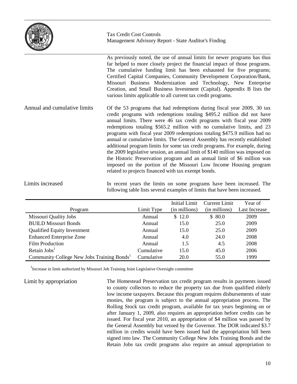

Tax Credit Cost Controls Management Advisory Report - State Auditor's Finding

As previously noted, the use of annual limits for newer programs has thus far helped to more closely project the financial impact of those programs. The cumulative funding limit has been exhausted for five programs; Certified Capital Companies, Community Development Corporation/Bank, Missouri Business Modernization and Technology, New Enterprise Creation, and Small Business Investment (Capital). Appendix B lists the various limits applicable to all current tax credit programs. Of the 53 programs that had redemptions during fiscal year 2009, 30 tax credit programs with redemptions totaling \$495.2 million did not have annual limits. There were 46 tax credit programs with fiscal year 2009 redemptions totaling \$565.2 million with no cumulative limits, and 23 programs with fiscal year 2009 redemptions totaling \$475.9 million had no annual or cumulative limits. The General Assembly has recently established additional program limits for some tax credit programs. For example, during the 2009 legislative session, an annual limit of \$140 million was imposed on the Historic Preservation program and an annual limit of \$6 million was imposed on the portion of the Missouri Low Income Housing program related to projects financed with tax exempt bonds. Annual and cumulative limits

In recent years the limits on some programs have been increased. The following table lists several examples of limits that have been increased. Limits increased

|                                                        |            | Initial Limit | Current Limit | Year of       |
|--------------------------------------------------------|------------|---------------|---------------|---------------|
| Program                                                | Limit Type | (in millions) | (in millions) | Last Increase |
| <b>Missouri Quality Jobs</b>                           | Annual     | \$12.0        | \$80.0        | 2009          |
| <b>BUILD Missouri Bonds</b>                            | Annual     | 15.0          | 25.0          | 2009          |
| <b>Qualified Equity Investment</b>                     | Annual     | 15.0          | 25.0          | 2009          |
| <b>Enhanced Enterprise Zone</b>                        | Annual     | 4.0           | 24.0          | 2008          |
| <b>Film Production</b>                                 | Annual     | 1.5           | 4.5           | 2008          |
| Retain $\text{Jobs}^1$                                 | Cumulative | 15.0          | 45.0          | 2006          |
| Community College New Jobs Training Bonds <sup>1</sup> | Cumulative | 20.0          | 55.0          | 1999          |

<sup>1</sup> Increase in limit authorized by Missouri Job Training Joint Legislative Oversight committee

Limit by appropriation

The Homestead Preservation tax credit program results in payments issued to county collectors to reduce the property tax due from qualified elderly low income taxpayers. Because this program requires disbursements of state monies, the program is subject to the annual appropriation process. The Rolling Stock tax credit program, available for tax years beginning on or after January 1, 2009, also requires an appropriation before credits can be issued. For fiscal year 2010, an appropriation of \$4 million was passed by the General Assembly but vetoed by the Governor. The DOR indicated \$3.7 million in credits would have been issued had the appropriation bill been signed into law. The Community College New Jobs Training Bonds and the Retain Jobs tax credit programs also require an annual appropriation to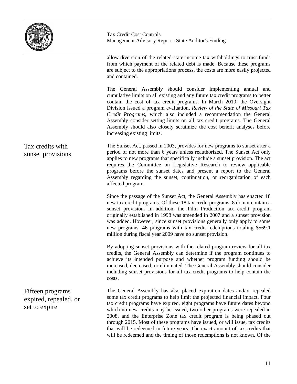

Tax Credit Cost Controls Management Advisory Report - State Auditor's Finding

allow diversion of the related state income tax withholdings to trust funds from which payment of the related debt is made. Because these programs are subject to the appropriations process, the costs are more easily projected and contained.

The General Assembly should consider implementing annual and cumulative limits on all existing and any future tax credit programs to better contain the cost of tax credit programs. In March 2010, the Oversight Division issued a program evaluation, *Review of the State of Missouri Tax Credit Programs*, which also included a recommendation the General Assembly consider setting limits on all tax credit programs. The General Assembly should also closely scrutinize the cost benefit analyses before increasing existing limits.

The Sunset Act, passed in 2003, provides for new programs to sunset after a period of not more than 6 years unless reauthorized. The Sunset Act only applies to new programs that specifically include a sunset provision. The act requires the Committee on Legislative Research to review applicable programs before the sunset dates and present a report to the General Assembly regarding the sunset, continuation, or reorganization of each affected program.

Since the passage of the Sunset Act, the General Assembly has enacted 18 new tax credit programs. Of these 18 tax credit programs, 8 do not contain a sunset provision. In addition, the Film Production tax credit program originally established in 1998 was amended in 2007 and a sunset provision was added. However, since sunset provisions generally only apply to some new programs, 46 programs with tax credit redemptions totaling \$569.1 million during fiscal year 2009 have no sunset provision.

By adopting sunset provisions with the related program review for all tax credits, the General Assembly can determine if the program continues to achieve its intended purpose and whether program funding should be increased, decreased, or eliminated. The General Assembly should consider including sunset provisions for all tax credit programs to help contain the costs.

The General Assembly has also placed expiration dates and/or repealed some tax credit programs to help limit the projected financial impact. Four tax credit programs have expired, eight programs have future dates beyond which no new credits may be issued, two other programs were repealed in 2008, and the Enterprise Zone tax credit program is being phased out through 2015. Most of these programs have issued, or will issue, tax credits that will be redeemed in future years. The exact amount of tax credits that will be redeemed and the timing of those redemptions is not known. Of the

#### Tax credits with sunset provisions

Fifteen programs expired, repealed, or set to expire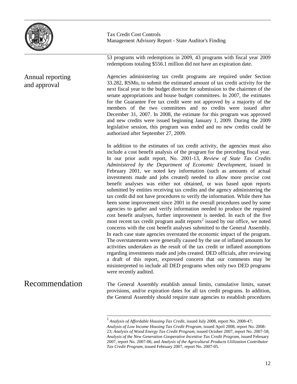

#### Annual reporting and approval

Tax Credit Cost Controls Management Advisory Report - State Auditor's Finding

53 programs with redemptions in 2009, 43 programs with fiscal year 2009 redemptions totaling \$556.1 million did not have an expiration date.

Agencies administering tax credit programs are required under Section 33.282, RSMo, to submit the estimated amount of tax credit activity for the next fiscal year to the budget director for submission to the chairmen of the senate appropriations and house budget committees. In 2007, the estimates for the Guarantee Fee tax credit were not approved by a majority of the members of the two committees and no credits were issued after December 31, 2007. In 2008, the estimate for this program was approved and new credits were issued beginning January 1, 2009. During the 2009 legislative session, this program was ended and no new credits could be authorized after September 27, 2009.

In addition to the estimates of tax credit activity, the agencies must also include a cost benefit analysis of the program for the preceding fiscal year. In our prior audit report, No. 2001-13, *Review of State Tax Credits Administered by the Department of Economic Development,* issued in February 2001, we noted key information (such as amounts of actual investments made and jobs created) needed to allow more precise cost benefit analyses was either not obtained, or was based upon reports submitted by entities receiving tax credits and the agency administering the tax credit did not have procedures to verify the information. While there has been some improvement since 2001 in the overall procedures used by some agencies to gather and verify information needed to produce the required cost benefit analyses, further improvement is needed. In each of the five most recent tax credit program audit reports<sup>[2](#page-14-0)</sup> issued by our office, we noted concerns with the cost benefit analyses submitted to the General Assembly. In each case state agencies overstated the economic impact of the program. The overstatements were generally caused by the use of inflated amounts for activities undertaken as the result of the tax credit or inflated assumptions regarding investments made and jobs created. DED officials, after reviewing a draft of this report, expressed concern that our comments may be misinterpreted to include all DED programs when only two DED programs were recently audited.

<span id="page-14-0"></span>The General Assembly establish annual limits, cumulative limits, sunset provisions, and/or expiration dates for all tax credit programs. In addition, the General Assembly should require state agencies to establish procedures Recommendation

 <sup>2</sup> *Analysis of Affordable Housing Tax Credit,* issued July 2008, report No. 2008-47; *Analysis of Low Income Housing Tax Credit Program,* issued April 2008, report No. 2008- 23; *Analysis of Wood Energy Tax Credit Program,* issued October 2007, report No. 2007-58; *Analysis of the New Generation Cooperative Incentive Tax Credit Program,* issued February 2007, report No. 2007-06; and *Analysis of the Agricultural Products Utilization Contributor Tax Credit Program,* issued February 2007, report No. 2007-05.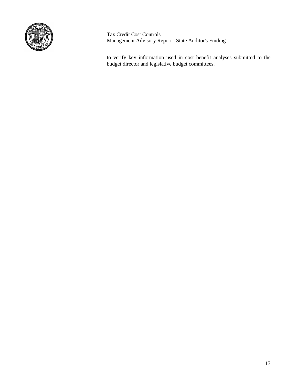

Tax Credit Cost Controls Management Advisory Report - State Auditor's Finding

to verify key information used in cost benefit analyses submitted to the budget director and legislative budget committees.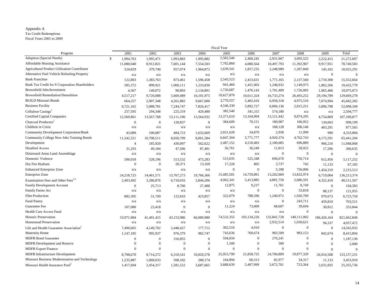#### Appendix A

Tax Credit Redemptions

Fiscal Years 2001 to 2009

| 2002<br>2009<br>Total<br>2001<br>2003<br>2004<br>2005<br>2006<br>2007<br>2008<br>Program<br>Adoption (Special Needs)<br>2,582,546<br>$\mathsf{\$}$<br>1,994,763<br>1,993,883<br>1,995,882<br>2,460,245<br>2,931,967<br>3,095,525<br>2,222,415<br>21,272,697<br>1,995,471<br>7,702,860<br><b>Affordable Housing Assistance</b><br>4,080,564<br>10,497,793<br>11,392,907<br>11,080,040<br>8,912,821<br>7,601,144<br>7,554,503<br>9,917,951<br>78,740,583<br>1,639,541<br><b>Agricultural Product Utilization Contributor</b><br>524,829<br>379,740<br>957,074<br>1,964,872<br>1,857,235<br>2,248,989<br>1,207,849<br>10,925,291<br>145,162<br>Alternative Fuel Vehicle Refueling Property<br>n/a<br>$\mathbf{0}$<br>$\mathbf{0}$<br>n/a<br>n/a<br>n/a<br>n/a<br>n/a<br>n/a<br>n/a<br>2,543,523<br><b>Bank Franchise</b><br>122,803<br>2,413,631<br>1,771,165<br>2,137,560<br>1,383,763<br>873,461<br>1,596,458<br>2,710,300<br>15,552,664<br>Bank Tax Credit for S Corporation Shareholders<br>941,460<br>1,451,903<br>585,372<br>898,921<br>1,233,830<br>1,248,932<br>1,149,975<br>10,432,770<br>1,060,111<br>1,862,266<br>Brownfield Jobs/Investment<br>1,726,687<br>149,072<br>90,893<br>1,476,143<br>1,701,409<br>1,726,005<br>10,975,073<br>4,567<br>2,134,891<br>1,965,406<br><b>Brownfield Remediation/Demolition</b><br>10,627,870<br>10,611,324<br>16,733,274<br>26,493,252<br>4,517,217<br>9,720,088<br>16,101,975<br>129,669,278<br>5,669,489<br>29,194,789<br><b>BUILD Missouri Bonds</b><br>3,770,557<br>5,402,416<br>6,958,318<br>4,975,510<br>664,257<br>2,907,348<br>9,667,000<br>7,074,994<br>45,682,282<br>4,261,882<br><b>Business Facility</b><br>4,546,330<br>5,892,727<br>6,066,136<br>2,815,251<br>6,721,162<br>5,088,781<br>7,244,747<br>7,826,417<br>5,896,798<br>52,098,349<br>382,540<br>Cellulose Casings <sup>1</sup><br>257,595<br>341,315<br>574,180<br>294,348<br>225,319<br>429,480<br>2,504,777<br>n/a<br>n/a<br><b>Certified Capital Companies</b><br>13,371,610<br>13,164,904<br>13,121,442<br>9,874,295<br>12,569,861<br>13,567,768<br>13,564,932<br>4,754,869<br>107,100,877<br>13,111,196<br>384,609<br>70,151<br>180,987<br>106,952<br>Charcoal Producers <sup>1</sup><br>$\mathbf{0}$<br>$\mathbf{0}$<br>120,837<br>$\overline{0}$<br>998,199<br>134,663<br>Children in Crisis<br>168,128<br>306,146<br>n/a<br>n/a<br>n/a<br>n/a<br>n/a<br>n/a<br>403,291<br>877,565<br>Community Development Corporation/Bank<br>2,021,628<br>34,870<br>2,958<br>11,990<br>43,089<br>484,723<br>990<br>4,333,004<br>100,087<br>1,632,669<br>5,771,777<br>Community College New Jobs Training Bonds<br>6,847,304<br>4,920,374<br>4,762,743<br>11,542,521<br>10,708,511<br>8,650,799<br>8,061,584<br>4,175,591<br>65,441,204<br>Development<br>2,487,152<br>4,518,483<br>2,100,685<br>696,889<br>185,920<br>430,097<br>562,622<br>966,216<br>11,948,068<br>$\overline{4}$<br>56,761<br>36,549<br>Disabled Access<br>11,813<br>28,922<br>31,293<br>49,184<br>47,506<br>87,401<br>17,206<br>366,635<br>$\mathbf{0}$<br>$\mathbf{0}$<br>Distressed Areas Land Assemblage<br>n/a<br>n/a<br>n/a<br>n/a<br>n/a<br>n/a<br>$\mathbf{0}$<br>$\mathbf{0}$<br>Domestic Violence<br>515,035<br>525,348<br>696,670<br>750,714<br>500,018<br>528,196<br>513,532<br>612,456<br>5,117,252<br>475,283<br>20,371<br>17,228<br>805<br>Dry Fire Hydrant<br>$\overline{0}$<br>$\mathbf{0}$<br>13,169<br>3,737<br>742<br>67,185<br>11,133<br>$\mathbf{0}$<br>5,188<br><b>Enhanced Enterprise Zone</b><br>$\mathbf{0}$<br>756,006<br>n/a<br>n/a<br>n/a<br>n/a<br>1,454,319<br>2,215,513 |  |  | <b>Fiscal Year</b> |  |  |  |
|----------------------------------------------------------------------------------------------------------------------------------------------------------------------------------------------------------------------------------------------------------------------------------------------------------------------------------------------------------------------------------------------------------------------------------------------------------------------------------------------------------------------------------------------------------------------------------------------------------------------------------------------------------------------------------------------------------------------------------------------------------------------------------------------------------------------------------------------------------------------------------------------------------------------------------------------------------------------------------------------------------------------------------------------------------------------------------------------------------------------------------------------------------------------------------------------------------------------------------------------------------------------------------------------------------------------------------------------------------------------------------------------------------------------------------------------------------------------------------------------------------------------------------------------------------------------------------------------------------------------------------------------------------------------------------------------------------------------------------------------------------------------------------------------------------------------------------------------------------------------------------------------------------------------------------------------------------------------------------------------------------------------------------------------------------------------------------------------------------------------------------------------------------------------------------------------------------------------------------------------------------------------------------------------------------------------------------------------------------------------------------------------------------------------------------------------------------------------------------------------------------------------------------------------------------------------------------------------------------------------------------------------------------------------------------------------------------------------------------------------------------------------------------------------------------------------------------------------------------------------------------------------------------------------------------------------------------------------------------------------------------------------------------------------------------------------------------------------------------------------------------------------------------------------------------------------------------------------------------------------------------------------------------------------------------------------------------------------------------------------------------------------------------------------------------------------------------------------------------------------------------------------------------------------------------------------------------------|--|--|--------------------|--|--|--|
|                                                                                                                                                                                                                                                                                                                                                                                                                                                                                                                                                                                                                                                                                                                                                                                                                                                                                                                                                                                                                                                                                                                                                                                                                                                                                                                                                                                                                                                                                                                                                                                                                                                                                                                                                                                                                                                                                                                                                                                                                                                                                                                                                                                                                                                                                                                                                                                                                                                                                                                                                                                                                                                                                                                                                                                                                                                                                                                                                                                                                                                                                                                                                                                                                                                                                                                                                                                                                                                                                                                                                                                        |  |  |                    |  |  |  |
|                                                                                                                                                                                                                                                                                                                                                                                                                                                                                                                                                                                                                                                                                                                                                                                                                                                                                                                                                                                                                                                                                                                                                                                                                                                                                                                                                                                                                                                                                                                                                                                                                                                                                                                                                                                                                                                                                                                                                                                                                                                                                                                                                                                                                                                                                                                                                                                                                                                                                                                                                                                                                                                                                                                                                                                                                                                                                                                                                                                                                                                                                                                                                                                                                                                                                                                                                                                                                                                                                                                                                                                        |  |  |                    |  |  |  |
|                                                                                                                                                                                                                                                                                                                                                                                                                                                                                                                                                                                                                                                                                                                                                                                                                                                                                                                                                                                                                                                                                                                                                                                                                                                                                                                                                                                                                                                                                                                                                                                                                                                                                                                                                                                                                                                                                                                                                                                                                                                                                                                                                                                                                                                                                                                                                                                                                                                                                                                                                                                                                                                                                                                                                                                                                                                                                                                                                                                                                                                                                                                                                                                                                                                                                                                                                                                                                                                                                                                                                                                        |  |  |                    |  |  |  |
|                                                                                                                                                                                                                                                                                                                                                                                                                                                                                                                                                                                                                                                                                                                                                                                                                                                                                                                                                                                                                                                                                                                                                                                                                                                                                                                                                                                                                                                                                                                                                                                                                                                                                                                                                                                                                                                                                                                                                                                                                                                                                                                                                                                                                                                                                                                                                                                                                                                                                                                                                                                                                                                                                                                                                                                                                                                                                                                                                                                                                                                                                                                                                                                                                                                                                                                                                                                                                                                                                                                                                                                        |  |  |                    |  |  |  |
|                                                                                                                                                                                                                                                                                                                                                                                                                                                                                                                                                                                                                                                                                                                                                                                                                                                                                                                                                                                                                                                                                                                                                                                                                                                                                                                                                                                                                                                                                                                                                                                                                                                                                                                                                                                                                                                                                                                                                                                                                                                                                                                                                                                                                                                                                                                                                                                                                                                                                                                                                                                                                                                                                                                                                                                                                                                                                                                                                                                                                                                                                                                                                                                                                                                                                                                                                                                                                                                                                                                                                                                        |  |  |                    |  |  |  |
|                                                                                                                                                                                                                                                                                                                                                                                                                                                                                                                                                                                                                                                                                                                                                                                                                                                                                                                                                                                                                                                                                                                                                                                                                                                                                                                                                                                                                                                                                                                                                                                                                                                                                                                                                                                                                                                                                                                                                                                                                                                                                                                                                                                                                                                                                                                                                                                                                                                                                                                                                                                                                                                                                                                                                                                                                                                                                                                                                                                                                                                                                                                                                                                                                                                                                                                                                                                                                                                                                                                                                                                        |  |  |                    |  |  |  |
|                                                                                                                                                                                                                                                                                                                                                                                                                                                                                                                                                                                                                                                                                                                                                                                                                                                                                                                                                                                                                                                                                                                                                                                                                                                                                                                                                                                                                                                                                                                                                                                                                                                                                                                                                                                                                                                                                                                                                                                                                                                                                                                                                                                                                                                                                                                                                                                                                                                                                                                                                                                                                                                                                                                                                                                                                                                                                                                                                                                                                                                                                                                                                                                                                                                                                                                                                                                                                                                                                                                                                                                        |  |  |                    |  |  |  |
|                                                                                                                                                                                                                                                                                                                                                                                                                                                                                                                                                                                                                                                                                                                                                                                                                                                                                                                                                                                                                                                                                                                                                                                                                                                                                                                                                                                                                                                                                                                                                                                                                                                                                                                                                                                                                                                                                                                                                                                                                                                                                                                                                                                                                                                                                                                                                                                                                                                                                                                                                                                                                                                                                                                                                                                                                                                                                                                                                                                                                                                                                                                                                                                                                                                                                                                                                                                                                                                                                                                                                                                        |  |  |                    |  |  |  |
|                                                                                                                                                                                                                                                                                                                                                                                                                                                                                                                                                                                                                                                                                                                                                                                                                                                                                                                                                                                                                                                                                                                                                                                                                                                                                                                                                                                                                                                                                                                                                                                                                                                                                                                                                                                                                                                                                                                                                                                                                                                                                                                                                                                                                                                                                                                                                                                                                                                                                                                                                                                                                                                                                                                                                                                                                                                                                                                                                                                                                                                                                                                                                                                                                                                                                                                                                                                                                                                                                                                                                                                        |  |  |                    |  |  |  |
|                                                                                                                                                                                                                                                                                                                                                                                                                                                                                                                                                                                                                                                                                                                                                                                                                                                                                                                                                                                                                                                                                                                                                                                                                                                                                                                                                                                                                                                                                                                                                                                                                                                                                                                                                                                                                                                                                                                                                                                                                                                                                                                                                                                                                                                                                                                                                                                                                                                                                                                                                                                                                                                                                                                                                                                                                                                                                                                                                                                                                                                                                                                                                                                                                                                                                                                                                                                                                                                                                                                                                                                        |  |  |                    |  |  |  |
|                                                                                                                                                                                                                                                                                                                                                                                                                                                                                                                                                                                                                                                                                                                                                                                                                                                                                                                                                                                                                                                                                                                                                                                                                                                                                                                                                                                                                                                                                                                                                                                                                                                                                                                                                                                                                                                                                                                                                                                                                                                                                                                                                                                                                                                                                                                                                                                                                                                                                                                                                                                                                                                                                                                                                                                                                                                                                                                                                                                                                                                                                                                                                                                                                                                                                                                                                                                                                                                                                                                                                                                        |  |  |                    |  |  |  |
|                                                                                                                                                                                                                                                                                                                                                                                                                                                                                                                                                                                                                                                                                                                                                                                                                                                                                                                                                                                                                                                                                                                                                                                                                                                                                                                                                                                                                                                                                                                                                                                                                                                                                                                                                                                                                                                                                                                                                                                                                                                                                                                                                                                                                                                                                                                                                                                                                                                                                                                                                                                                                                                                                                                                                                                                                                                                                                                                                                                                                                                                                                                                                                                                                                                                                                                                                                                                                                                                                                                                                                                        |  |  |                    |  |  |  |
|                                                                                                                                                                                                                                                                                                                                                                                                                                                                                                                                                                                                                                                                                                                                                                                                                                                                                                                                                                                                                                                                                                                                                                                                                                                                                                                                                                                                                                                                                                                                                                                                                                                                                                                                                                                                                                                                                                                                                                                                                                                                                                                                                                                                                                                                                                                                                                                                                                                                                                                                                                                                                                                                                                                                                                                                                                                                                                                                                                                                                                                                                                                                                                                                                                                                                                                                                                                                                                                                                                                                                                                        |  |  |                    |  |  |  |
|                                                                                                                                                                                                                                                                                                                                                                                                                                                                                                                                                                                                                                                                                                                                                                                                                                                                                                                                                                                                                                                                                                                                                                                                                                                                                                                                                                                                                                                                                                                                                                                                                                                                                                                                                                                                                                                                                                                                                                                                                                                                                                                                                                                                                                                                                                                                                                                                                                                                                                                                                                                                                                                                                                                                                                                                                                                                                                                                                                                                                                                                                                                                                                                                                                                                                                                                                                                                                                                                                                                                                                                        |  |  |                    |  |  |  |
|                                                                                                                                                                                                                                                                                                                                                                                                                                                                                                                                                                                                                                                                                                                                                                                                                                                                                                                                                                                                                                                                                                                                                                                                                                                                                                                                                                                                                                                                                                                                                                                                                                                                                                                                                                                                                                                                                                                                                                                                                                                                                                                                                                                                                                                                                                                                                                                                                                                                                                                                                                                                                                                                                                                                                                                                                                                                                                                                                                                                                                                                                                                                                                                                                                                                                                                                                                                                                                                                                                                                                                                        |  |  |                    |  |  |  |
|                                                                                                                                                                                                                                                                                                                                                                                                                                                                                                                                                                                                                                                                                                                                                                                                                                                                                                                                                                                                                                                                                                                                                                                                                                                                                                                                                                                                                                                                                                                                                                                                                                                                                                                                                                                                                                                                                                                                                                                                                                                                                                                                                                                                                                                                                                                                                                                                                                                                                                                                                                                                                                                                                                                                                                                                                                                                                                                                                                                                                                                                                                                                                                                                                                                                                                                                                                                                                                                                                                                                                                                        |  |  |                    |  |  |  |
|                                                                                                                                                                                                                                                                                                                                                                                                                                                                                                                                                                                                                                                                                                                                                                                                                                                                                                                                                                                                                                                                                                                                                                                                                                                                                                                                                                                                                                                                                                                                                                                                                                                                                                                                                                                                                                                                                                                                                                                                                                                                                                                                                                                                                                                                                                                                                                                                                                                                                                                                                                                                                                                                                                                                                                                                                                                                                                                                                                                                                                                                                                                                                                                                                                                                                                                                                                                                                                                                                                                                                                                        |  |  |                    |  |  |  |
|                                                                                                                                                                                                                                                                                                                                                                                                                                                                                                                                                                                                                                                                                                                                                                                                                                                                                                                                                                                                                                                                                                                                                                                                                                                                                                                                                                                                                                                                                                                                                                                                                                                                                                                                                                                                                                                                                                                                                                                                                                                                                                                                                                                                                                                                                                                                                                                                                                                                                                                                                                                                                                                                                                                                                                                                                                                                                                                                                                                                                                                                                                                                                                                                                                                                                                                                                                                                                                                                                                                                                                                        |  |  |                    |  |  |  |
|                                                                                                                                                                                                                                                                                                                                                                                                                                                                                                                                                                                                                                                                                                                                                                                                                                                                                                                                                                                                                                                                                                                                                                                                                                                                                                                                                                                                                                                                                                                                                                                                                                                                                                                                                                                                                                                                                                                                                                                                                                                                                                                                                                                                                                                                                                                                                                                                                                                                                                                                                                                                                                                                                                                                                                                                                                                                                                                                                                                                                                                                                                                                                                                                                                                                                                                                                                                                                                                                                                                                                                                        |  |  |                    |  |  |  |
|                                                                                                                                                                                                                                                                                                                                                                                                                                                                                                                                                                                                                                                                                                                                                                                                                                                                                                                                                                                                                                                                                                                                                                                                                                                                                                                                                                                                                                                                                                                                                                                                                                                                                                                                                                                                                                                                                                                                                                                                                                                                                                                                                                                                                                                                                                                                                                                                                                                                                                                                                                                                                                                                                                                                                                                                                                                                                                                                                                                                                                                                                                                                                                                                                                                                                                                                                                                                                                                                                                                                                                                        |  |  |                    |  |  |  |
|                                                                                                                                                                                                                                                                                                                                                                                                                                                                                                                                                                                                                                                                                                                                                                                                                                                                                                                                                                                                                                                                                                                                                                                                                                                                                                                                                                                                                                                                                                                                                                                                                                                                                                                                                                                                                                                                                                                                                                                                                                                                                                                                                                                                                                                                                                                                                                                                                                                                                                                                                                                                                                                                                                                                                                                                                                                                                                                                                                                                                                                                                                                                                                                                                                                                                                                                                                                                                                                                                                                                                                                        |  |  |                    |  |  |  |
|                                                                                                                                                                                                                                                                                                                                                                                                                                                                                                                                                                                                                                                                                                                                                                                                                                                                                                                                                                                                                                                                                                                                                                                                                                                                                                                                                                                                                                                                                                                                                                                                                                                                                                                                                                                                                                                                                                                                                                                                                                                                                                                                                                                                                                                                                                                                                                                                                                                                                                                                                                                                                                                                                                                                                                                                                                                                                                                                                                                                                                                                                                                                                                                                                                                                                                                                                                                                                                                                                                                                                                                        |  |  |                    |  |  |  |
|                                                                                                                                                                                                                                                                                                                                                                                                                                                                                                                                                                                                                                                                                                                                                                                                                                                                                                                                                                                                                                                                                                                                                                                                                                                                                                                                                                                                                                                                                                                                                                                                                                                                                                                                                                                                                                                                                                                                                                                                                                                                                                                                                                                                                                                                                                                                                                                                                                                                                                                                                                                                                                                                                                                                                                                                                                                                                                                                                                                                                                                                                                                                                                                                                                                                                                                                                                                                                                                                                                                                                                                        |  |  |                    |  |  |  |
| 15,485,501<br>14,759,891<br>13,202,069<br>13,832,974<br>Enterprise Zone<br>24,218,725<br>14,461,571<br>13,767,273<br>19,766,366<br>6,719,004<br>136,213,374                                                                                                                                                                                                                                                                                                                                                                                                                                                                                                                                                                                                                                                                                                                                                                                                                                                                                                                                                                                                                                                                                                                                                                                                                                                                                                                                                                                                                                                                                                                                                                                                                                                                                                                                                                                                                                                                                                                                                                                                                                                                                                                                                                                                                                                                                                                                                                                                                                                                                                                                                                                                                                                                                                                                                                                                                                                                                                                                                                                                                                                                                                                                                                                                                                                                                                                                                                                                                            |  |  |                    |  |  |  |
| Examination Fees and Other Fees <sup>2,3</sup><br>4,962,341<br>5,413,885<br>4,881,750<br>2,686,591<br>2,403,492<br>3,286,876<br>6,710,016<br>5,844,206<br>4,322,410<br>40,511,567                                                                                                                                                                                                                                                                                                                                                                                                                                                                                                                                                                                                                                                                                                                                                                                                                                                                                                                                                                                                                                                                                                                                                                                                                                                                                                                                                                                                                                                                                                                                                                                                                                                                                                                                                                                                                                                                                                                                                                                                                                                                                                                                                                                                                                                                                                                                                                                                                                                                                                                                                                                                                                                                                                                                                                                                                                                                                                                                                                                                                                                                                                                                                                                                                                                                                                                                                                                                      |  |  |                    |  |  |  |
| 12,875<br>9,237<br>11,761<br>8,749<br>Family Development Account<br>$\mathbf{0}$<br>104,583<br>$\mathbf{0}$<br>25,713<br>8,760<br>27,488                                                                                                                                                                                                                                                                                                                                                                                                                                                                                                                                                                                                                                                                                                                                                                                                                                                                                                                                                                                                                                                                                                                                                                                                                                                                                                                                                                                                                                                                                                                                                                                                                                                                                                                                                                                                                                                                                                                                                                                                                                                                                                                                                                                                                                                                                                                                                                                                                                                                                                                                                                                                                                                                                                                                                                                                                                                                                                                                                                                                                                                                                                                                                                                                                                                                                                                                                                                                                                               |  |  |                    |  |  |  |
| $\mathbf{0}$<br>$\overline{0}$<br>33,818<br>Family Farms Act<br>n/a<br>n/a<br>n/a<br>n/a<br>n/a<br>88,137<br>121,955                                                                                                                                                                                                                                                                                                                                                                                                                                                                                                                                                                                                                                                                                                                                                                                                                                                                                                                                                                                                                                                                                                                                                                                                                                                                                                                                                                                                                                                                                                                                                                                                                                                                                                                                                                                                                                                                                                                                                                                                                                                                                                                                                                                                                                                                                                                                                                                                                                                                                                                                                                                                                                                                                                                                                                                                                                                                                                                                                                                                                                                                                                                                                                                                                                                                                                                                                                                                                                                                   |  |  |                    |  |  |  |
| 322,079<br>Film Production<br>788,596<br>1,240,972<br>1,920,709<br>882,305<br>51,749<br>122,810<br>423,857<br>970,673<br>6,723,750                                                                                                                                                                                                                                                                                                                                                                                                                                                                                                                                                                                                                                                                                                                                                                                                                                                                                                                                                                                                                                                                                                                                                                                                                                                                                                                                                                                                                                                                                                                                                                                                                                                                                                                                                                                                                                                                                                                                                                                                                                                                                                                                                                                                                                                                                                                                                                                                                                                                                                                                                                                                                                                                                                                                                                                                                                                                                                                                                                                                                                                                                                                                                                                                                                                                                                                                                                                                                                                     |  |  |                    |  |  |  |
| Food Pantry<br>$\mathbf{0}$<br>243,711<br>n/a<br>n/a<br>n/a<br>n/a<br>n/a<br>n/a<br>703,521<br>459,810                                                                                                                                                                                                                                                                                                                                                                                                                                                                                                                                                                                                                                                                                                                                                                                                                                                                                                                                                                                                                                                                                                                                                                                                                                                                                                                                                                                                                                                                                                                                                                                                                                                                                                                                                                                                                                                                                                                                                                                                                                                                                                                                                                                                                                                                                                                                                                                                                                                                                                                                                                                                                                                                                                                                                                                                                                                                                                                                                                                                                                                                                                                                                                                                                                                                                                                                                                                                                                                                                 |  |  |                    |  |  |  |
| 11,224<br>73,009<br>68,607<br>39,694<br>Guarantee Fee<br>353,844<br>107,080<br>23,418<br>$\mathbf{0}$<br>$\Omega$<br>30,812                                                                                                                                                                                                                                                                                                                                                                                                                                                                                                                                                                                                                                                                                                                                                                                                                                                                                                                                                                                                                                                                                                                                                                                                                                                                                                                                                                                                                                                                                                                                                                                                                                                                                                                                                                                                                                                                                                                                                                                                                                                                                                                                                                                                                                                                                                                                                                                                                                                                                                                                                                                                                                                                                                                                                                                                                                                                                                                                                                                                                                                                                                                                                                                                                                                                                                                                                                                                                                                            |  |  |                    |  |  |  |
| Health Care Access Fund<br>$\theta$<br>n/a<br>n/a<br>n/a<br>n/a<br>n/a<br>n/a<br>n/a<br>$\Omega$<br>$\Omega$                                                                                                                                                                                                                                                                                                                                                                                                                                                                                                                                                                                                                                                                                                                                                                                                                                                                                                                                                                                                                                                                                                                                                                                                                                                                                                                                                                                                                                                                                                                                                                                                                                                                                                                                                                                                                                                                                                                                                                                                                                                                                                                                                                                                                                                                                                                                                                                                                                                                                                                                                                                                                                                                                                                                                                                                                                                                                                                                                                                                                                                                                                                                                                                                                                                                                                                                                                                                                                                                           |  |  |                    |  |  |  |
| 74,532,355<br>103,134,226<br>Historic Preservation<br>132,841,728<br>140,111,002<br>43,153,986<br>66,089,980<br>821,662,840<br>33,971,984<br>41,401,415<br>186,426,164                                                                                                                                                                                                                                                                                                                                                                                                                                                                                                                                                                                                                                                                                                                                                                                                                                                                                                                                                                                                                                                                                                                                                                                                                                                                                                                                                                                                                                                                                                                                                                                                                                                                                                                                                                                                                                                                                                                                                                                                                                                                                                                                                                                                                                                                                                                                                                                                                                                                                                                                                                                                                                                                                                                                                                                                                                                                                                                                                                                                                                                                                                                                                                                                                                                                                                                                                                                                                 |  |  |                    |  |  |  |
| <b>Homestead Preservation</b><br>2,932,514<br>1,030,621<br>n/a<br>n/a<br>n/a<br>n/a<br>n/a<br>n/a<br>94,337<br>4,057,472                                                                                                                                                                                                                                                                                                                                                                                                                                                                                                                                                                                                                                                                                                                                                                                                                                                                                                                                                                                                                                                                                                                                                                                                                                                                                                                                                                                                                                                                                                                                                                                                                                                                                                                                                                                                                                                                                                                                                                                                                                                                                                                                                                                                                                                                                                                                                                                                                                                                                                                                                                                                                                                                                                                                                                                                                                                                                                                                                                                                                                                                                                                                                                                                                                                                                                                                                                                                                                                               |  |  |                    |  |  |  |
| 302,516<br>4,910<br>$\overline{0}$<br>$\mathbf{0}$<br>Life and Health Guarantee Association <sup>2</sup><br>7,490,665<br>4,149,702<br>2,440,427<br>177,712<br>$\overline{0}$<br>14,565,932                                                                                                                                                                                                                                                                                                                                                                                                                                                                                                                                                                                                                                                                                                                                                                                                                                                                                                                                                                                                                                                                                                                                                                                                                                                                                                                                                                                                                                                                                                                                                                                                                                                                                                                                                                                                                                                                                                                                                                                                                                                                                                                                                                                                                                                                                                                                                                                                                                                                                                                                                                                                                                                                                                                                                                                                                                                                                                                                                                                                                                                                                                                                                                                                                                                                                                                                                                                             |  |  |                    |  |  |  |
| 760,674<br>983,509<br>983,153<br><b>Maternity Home</b><br>743,636<br>1,147,185<br>995,937<br>976,379<br>982,747<br>842,674<br>8,415,894                                                                                                                                                                                                                                                                                                                                                                                                                                                                                                                                                                                                                                                                                                                                                                                                                                                                                                                                                                                                                                                                                                                                                                                                                                                                                                                                                                                                                                                                                                                                                                                                                                                                                                                                                                                                                                                                                                                                                                                                                                                                                                                                                                                                                                                                                                                                                                                                                                                                                                                                                                                                                                                                                                                                                                                                                                                                                                                                                                                                                                                                                                                                                                                                                                                                                                                                                                                                                                                |  |  |                    |  |  |  |
| $\boldsymbol{0}$<br><b>MDFB</b> Bond Guarantee<br>594,034<br>276,241<br>$\mathbf{0}$<br>$\mathbf{0}$<br>$\mathbf{0}$<br>316,855<br>$\overline{0}$<br>$\mathbf{0}$<br>1,187,130                                                                                                                                                                                                                                                                                                                                                                                                                                                                                                                                                                                                                                                                                                                                                                                                                                                                                                                                                                                                                                                                                                                                                                                                                                                                                                                                                                                                                                                                                                                                                                                                                                                                                                                                                                                                                                                                                                                                                                                                                                                                                                                                                                                                                                                                                                                                                                                                                                                                                                                                                                                                                                                                                                                                                                                                                                                                                                                                                                                                                                                                                                                                                                                                                                                                                                                                                                                                         |  |  |                    |  |  |  |
| $\mathbf{0}$<br>500<br>$\overline{0}$<br>$\mathbf{0}$<br>$\mathbf{0}$<br>1,500<br>$\mathbf{0}$<br>$\Omega$<br>MDFB Development and Reserve<br>$\mathbf{0}$<br>2,000                                                                                                                                                                                                                                                                                                                                                                                                                                                                                                                                                                                                                                                                                                                                                                                                                                                                                                                                                                                                                                                                                                                                                                                                                                                                                                                                                                                                                                                                                                                                                                                                                                                                                                                                                                                                                                                                                                                                                                                                                                                                                                                                                                                                                                                                                                                                                                                                                                                                                                                                                                                                                                                                                                                                                                                                                                                                                                                                                                                                                                                                                                                                                                                                                                                                                                                                                                                                                    |  |  |                    |  |  |  |
| <b>MDFB</b> Export Finance<br>$\mathbf{0}$<br>$\theta$<br>$\mathbf{0}$<br>$\mathbf{0}$<br>$\mathbf{0}$<br>$\mathbf{0}$<br>$\Omega$<br>$\overline{0}$<br>$\Omega$<br>$\theta$                                                                                                                                                                                                                                                                                                                                                                                                                                                                                                                                                                                                                                                                                                                                                                                                                                                                                                                                                                                                                                                                                                                                                                                                                                                                                                                                                                                                                                                                                                                                                                                                                                                                                                                                                                                                                                                                                                                                                                                                                                                                                                                                                                                                                                                                                                                                                                                                                                                                                                                                                                                                                                                                                                                                                                                                                                                                                                                                                                                                                                                                                                                                                                                                                                                                                                                                                                                                           |  |  |                    |  |  |  |
| <b>MDFB</b> Infrastructure Development<br>25,953,799<br>21,858,725<br>24,706,809<br>19,877,329<br>26,916,508<br>153, 157, 231<br>8,798,670<br>8,714,272<br>6,310,541<br>10,020,578                                                                                                                                                                                                                                                                                                                                                                                                                                                                                                                                                                                                                                                                                                                                                                                                                                                                                                                                                                                                                                                                                                                                                                                                                                                                                                                                                                                                                                                                                                                                                                                                                                                                                                                                                                                                                                                                                                                                                                                                                                                                                                                                                                                                                                                                                                                                                                                                                                                                                                                                                                                                                                                                                                                                                                                                                                                                                                                                                                                                                                                                                                                                                                                                                                                                                                                                                                                                     |  |  |                    |  |  |  |
| Missouri Business Modernization and Technology<br>60,313<br>82,977<br>34,317<br>1,235,887<br>1,068,033<br>508,182<br>288,174<br>164,894<br>11,133<br>3,453,910                                                                                                                                                                                                                                                                                                                                                                                                                                                                                                                                                                                                                                                                                                                                                                                                                                                                                                                                                                                                                                                                                                                                                                                                                                                                                                                                                                                                                                                                                                                                                                                                                                                                                                                                                                                                                                                                                                                                                                                                                                                                                                                                                                                                                                                                                                                                                                                                                                                                                                                                                                                                                                                                                                                                                                                                                                                                                                                                                                                                                                                                                                                                                                                                                                                                                                                                                                                                                         |  |  |                    |  |  |  |
| 3,688,639<br>5,497,999<br>3,672,701<br>723,364<br>Missouri Health Insurance Pool <sup>2</sup><br>1,417,694<br>2,454,317<br>1,581,522<br>3,687,665<br>2,631,835<br>25,355,736                                                                                                                                                                                                                                                                                                                                                                                                                                                                                                                                                                                                                                                                                                                                                                                                                                                                                                                                                                                                                                                                                                                                                                                                                                                                                                                                                                                                                                                                                                                                                                                                                                                                                                                                                                                                                                                                                                                                                                                                                                                                                                                                                                                                                                                                                                                                                                                                                                                                                                                                                                                                                                                                                                                                                                                                                                                                                                                                                                                                                                                                                                                                                                                                                                                                                                                                                                                                           |  |  |                    |  |  |  |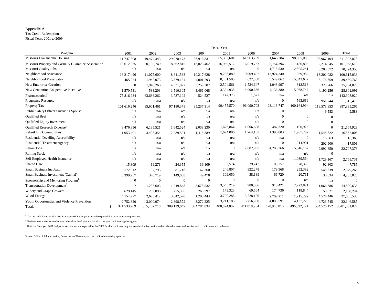#### Appendix A

Tax Credit Redemptions

Fiscal Years 2001 to 2009

|                                                                   |                              |              |                |              | Fiscal Year |                |             |              |             |               |
|-------------------------------------------------------------------|------------------------------|--------------|----------------|--------------|-------------|----------------|-------------|--------------|-------------|---------------|
| Program                                                           | 2001                         | 2002         | 2003           | 2004         | 2005        | 2006           | 2007        | 2008         | 2009        | Total         |
| Missouri Low Income Housing                                       | 11,747,808                   | 19,474,343   | 29,978,473     | 36,916,831   | 65,392,601  | 61,963,799     | 81,646,784  | 98,305,085   | 105,967,104 | 511,392,828   |
| Missouri Property and Casualty Guarantee Association <sup>2</sup> | 13,612,065                   | 20,135,749   | 18,362,815     | 16,823,462   | 16,959,512  | 6,019,763      | 5,754,394   | 1,186,805    | 2,214,045   | 101,068,610   |
| Missouri Quality Jobs                                             | n/a                          | n/a          | n/a            | n/a          | n/a         | $\overline{0}$ | 1,715,530   | 2,805,251    | 6,203,572   | 10,724,353    |
| Neighborhood Assistance                                           | 13.217.496                   | 11,075,600   | 8,641,533      | 10,217,628   | 9,286,880   | 10,009,497     | 13,924,340  | 11,039,982   | 13,202,082  | 100,615,038   |
| Neighborhood Preservation                                         | 465,024                      | 1,947,073    | 3,879,134      | 4,001,293    | 8,461,503   | 4,627,368      | 5,549,062   | 5,343,647    | 5,176,659   | 39,450,763    |
| New Enterprise Creation                                           | $\mathbf{0}$                 | 1,940,260    | 4,331,972      | 3,259,307    | 2,504,561   | 1,534,647      | 1,048,997   | 813,513      | 320,766     | 15,754,023    |
| New Generation Cooperative Incentive                              | 1,570,531                    | 533,203      | 1,510,305      | 3,466,068    | 3,334,935   | 4,990,666      | 4,136,380   | 5,068,747    | 4,190,256   | 28,801,091    |
| Pharmaceutical <sup>1</sup>                                       | 75,816,984                   | 63,686,262   | 3,737,102      | 524,527      | 142,373     | 1,672          | n/a         | n/a          | n/a         | 143,908,920   |
| Pregnancy Resource                                                | n/a                          | n/a          | n/a            | n/a          | n/a         | n/a            | $\Omega$    | 563,669      | 951,744     | 1,515,413     |
| Property Tax                                                      | 101.616.246                  | 85.901.461   | 97.180.378     | 95.237.314   | 99,455,570  | 96,090,703     | 93,118,747  | 100,164,994  | 118,573,853 | 887,339,266   |
| <b>Public Safety Officer Surviving Spouse</b>                     | n/a                          | n/a          | n/a            | n/a          | n/a         | n/a            | $\Omega$    | $\mathbf{0}$ | 9,583       | 9,583         |
| <b>Oualified Beef</b>                                             | n/a                          | n/a          | n/a            | n/a          | n/a         | n/a            |             |              | $\Omega$    | $\Omega$      |
| Qualified Equity Investment                                       | n/a                          | n/a          | n/a            | n/a          | n/a         | n/a            | $\Omega$    | $\Omega$     |             | $\Omega$      |
| Qualified Research Expense <sup>1</sup>                           | 8,476,856                    | 6,185,521    | 1,642,524      | 2,038,230    | 1,626,864   | 1,006,688      | 487,320     | 100,926      |             | 21,564,929    |
| <b>Rebuilding Communities</b>                                     | 1,053,401                    | 3,438,354    | 2,289,501      | 1,415,889    | 1,694,006   | 1,764,167      | 1,390,803   | 1,967,262    | 1,548,622   | 16,562,005    |
| <b>Residential Dwelling Accessibility</b>                         | n/a                          | n/a          | n/a            | n/a          | n/a         | n/a            | n/a         | $\mathbf{0}$ | 16,363      | 16,363        |
| <b>Residential Treatment Agency</b>                               | n/a                          | n/a          | n/a            | n/a          | n/a         | n/a            | $\Omega$    | 214,901      | 202,900     | 417,801       |
| Retain Jobs                                                       | n/a                          | n/a          | n/a            | n/a          | $\Omega$    | 2,882,995      | 4,285,366   | 5,546,167    | 9,992,850   | 22,707,378    |
| <b>Rolling Stock</b>                                              | n/a                          | n/a          | n/a            | n/a          | n/a         | n/a            | n/a         | n/a          | $\Omega$    | $\Omega$      |
| Self-Employed Health Insurance                                    | n/a                          | n/a          | n/a            | n/a          | n/a         | n/a            | n/a         | 1,039,564    | 1,729,167   | 2,768,731     |
| Shared Care                                                       | 15,309                       | 19,271       | 24,355         | 39,109       | 33,574      | 39,247         | 105,757     | 78,360       | 92,803      | 447,785       |
| <b>Small Business Incubator</b>                                   | 172,912                      | 107,793      | 81,716         | 167,360      | 246,807     | 322,278        | 179,368     | 252,392      | 548,639     | 2,079,265     |
| Small Business Investment (Capital)                               | 3,399,257                    | 370,719      | 149,068        | 49,478       | 109,050     | 58,189         | 66,720      | 20,711       | 30,634      | 4,253,826     |
| Sponsorship and Mentoring Program <sup>1</sup>                    | $\mathbf{0}$                 | $\mathbf{0}$ | $\overline{0}$ | $\mathbf{0}$ | $\Omega$    | $\Omega$       | $\Omega$    | n/a          | n/a         | $\Omega$      |
| Transportation Development <sup>1</sup>                           | n/a                          | 1,235,603    | 1,249,848      | 3,678,532    | 3,545,219   | 980,806        | 910,421     | 2,223,821    | 1,066,386   | 14,890,636    |
| Winery and Grape Growers                                          | 629,145                      | 239,098      | 275,366        | 260,397      | 179,323     | 69,564         | 174,736     | 118,844      | 153,821     | 2,100,294     |
| Wood Energy                                                       | 4,154,777                    | 2,673,412    | 3,642,570      | 1,205,443    | 3,700,285   | 3,728,100      | 2,709,211   | 1,215,292    | 4,576,446   | 27,605,536    |
| Youth Opportunities and Violence Prevention                       | 2,752,320                    | 3,000,974    | 2,898,572      | 3,272,225    | 3,211,185   | 3,256,950      | 4,893,591   | 4,137,223    | 4,723,545   | 32,146,585    |
| Totals                                                            | 371,533,209<br>$\mathcal{S}$ | 355,467,718  | 309,129,047    | 364,784,834  | 408,824,882 | 411,818,954    | 478,943,810 | 496,022,421  | 584,526,152 | 3,781,051,027 |

 $^{\rm 1}$  The tax credit has expired or has been repealed. Redemptions may be reported due to carry forward provisions.

 $^{\rm 2}$  Redemptions are on a calendar year rather than fiscal year and based on tax year credit was applied against.

 $^3$  Until the fiscal year 2007 budget process the amount reported by the DIFP for this credit was only the examination fee portion and not the other taxes and fees for which credits were also redeemed.

Source: Office of Administration, Department of Revenue, and tax credit administering agencies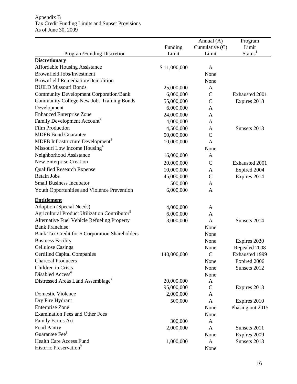|                                                           | Funding      | Annual $(A)$<br>Cumulative (C) | Program<br>Limit<br>Status <sup>1</sup> |
|-----------------------------------------------------------|--------------|--------------------------------|-----------------------------------------|
| Program/Funding Discretion<br><b>Discretionary</b>        | Limit        | Limit                          |                                         |
| <b>Affordable Housing Assistance</b>                      | \$11,000,000 | A                              |                                         |
| <b>Brownfield Jobs/Investment</b>                         |              | None                           |                                         |
| <b>Brownfield Remediation/Demolition</b>                  |              | None                           |                                         |
| <b>BUILD Missouri Bonds</b>                               | 25,000,000   | A                              |                                         |
| <b>Community Development Corporation/Bank</b>             | 6,000,000    | $\mathbf C$                    | Exhausted 2001                          |
| <b>Community College New Jobs Training Bonds</b>          | 55,000,000   | $\mathcal{C}$                  | Expires 2018                            |
| Development                                               | 6,000,000    | A                              |                                         |
| <b>Enhanced Enterprise Zone</b>                           | 24,000,000   | A                              |                                         |
| Family Development Account <sup>2</sup>                   | 4,000,000    | A                              |                                         |
| <b>Film Production</b>                                    | 4,500,000    | A                              | Sunsets 2013                            |
| <b>MDFB Bond Guarantee</b>                                | 50,000,000   | $\mathcal{C}$                  |                                         |
| MDFB Infrastructure Development <sup>3</sup>              | 10,000,000   | $\mathbf{A}$                   |                                         |
| Missouri Low Income Housing <sup>4</sup>                  |              | None                           |                                         |
| Neighborhood Assistance                                   | 16,000,000   | A                              |                                         |
| New Enterprise Creation                                   | 20,000,000   | $\mathbf C$                    | Exhausted 2001                          |
| Qualified Research Expense                                | 10,000,000   | A                              | Expired 2004                            |
| <b>Retain Jobs</b>                                        | 45,000,000   | $\mathbf C$                    | Expires 2014                            |
| <b>Small Business Incubator</b>                           | 500,000      | A                              |                                         |
| Youth Opportunities and Violence Prevention               | 6,000,000    | A                              |                                         |
| <b>Entitlement</b>                                        |              |                                |                                         |
| Adoption (Special Needs)                                  | 4,000,000    | A                              |                                         |
| Agricultural Product Utilization Contributor <sup>5</sup> | 6,000,000    | A                              |                                         |
| Alternative Fuel Vehicle Refueling Property               | 3,000,000    | $\mathbf{A}$                   | Sunsets 2014                            |
| <b>Bank Franchise</b>                                     |              | None                           |                                         |
| Bank Tax Credit for S Corporation Shareholders            |              | None                           |                                         |
| <b>Business Facility</b>                                  |              | None                           | Expires 2020                            |
| <b>Cellulose Casings</b>                                  |              | None                           | Repealed 2008                           |
| <b>Certified Capital Companies</b>                        | 140,000,000  | $\mathbf C$                    | Exhausted 1999                          |
| <b>Charcoal Producers</b>                                 |              | None                           | Expired 2006                            |
| Children in Crisis                                        |              | None                           | Sunsets 2012                            |
| Disabled Access <sup>6</sup>                              |              | None                           |                                         |
| Distressed Areas Land Assemblage'                         | 20,000,000   | A                              |                                         |
|                                                           | 95,000,000   | $\mathbf C$                    | Expires 2013                            |
| <b>Domestic Violence</b>                                  | 2,000,000    | A                              |                                         |
| Dry Fire Hydrant                                          | 500,000      | $\mathbf{A}$                   | Expires 2010                            |
| <b>Enterprise Zone</b>                                    |              | None                           | Phasing out 2015                        |
| <b>Examination Fees and Other Fees</b>                    |              | None                           |                                         |
| Family Farms Act                                          | 300,000      | $\mathbf{A}$                   |                                         |
| Food Pantry                                               | 2,000,000    | $\mathbf{A}$                   | Sunsets 2011                            |
| Guarantee Fee <sup>8</sup>                                |              | None                           | Expires 2009                            |
| <b>Health Care Access Fund</b>                            | 1,000,000    | $\mathbf{A}$                   | Sunsets 2013                            |
| Historic Preservation <sup>9</sup>                        |              | None                           |                                         |